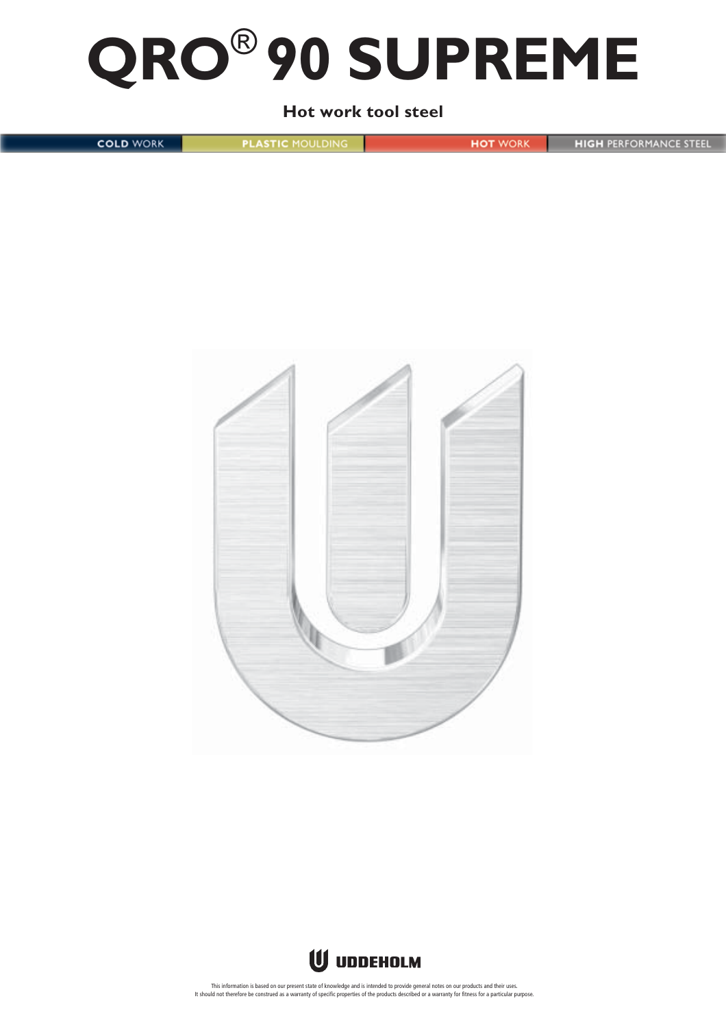# **QRO**® **90 SUPREME**

# **Hot work tool steel**

**COLD WORK** 

**PLASTIC MOULDING** 

**HOT** WORK

**HIGH PERFORMANCE STEEL** 



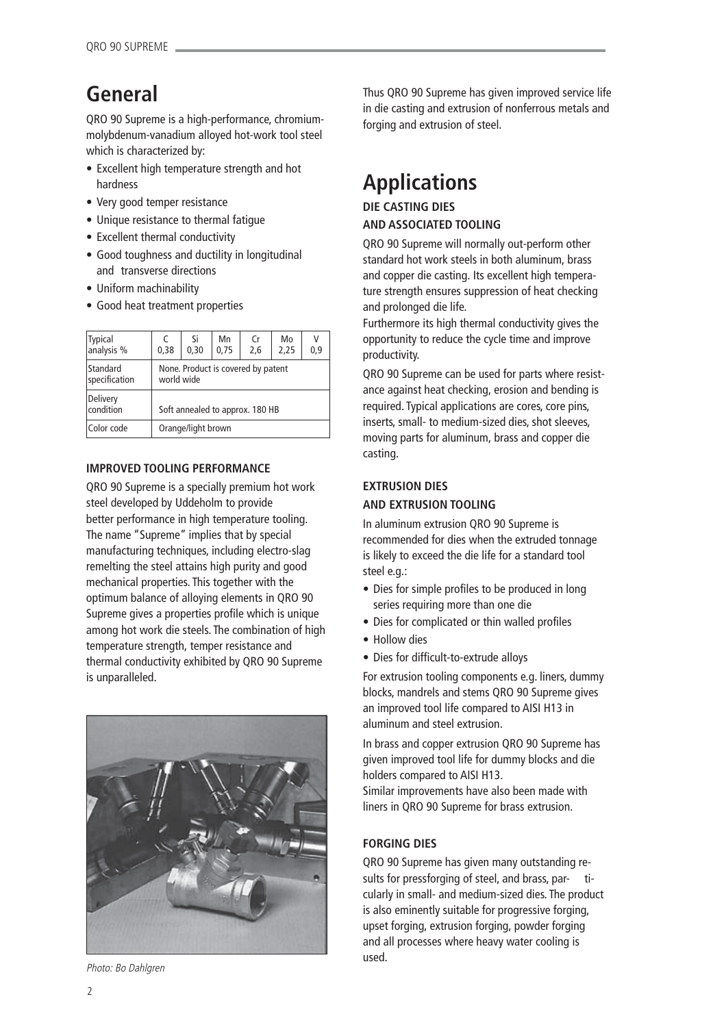# **General**

QRO 90 Supreme is a high-performance, chromiummolybdenum-vanadium alloyed hot-work tool steel which is characterized by:

- Excellent high temperature strength and hot hardness
- Very good temper resistance
- Unique resistance to thermal fatigue
- Excellent thermal conductivity
- Good toughness and ductility in longitudinal and transverse directions
- Uniform machinability
- Good heat treatment properties

| <b>Typical</b><br>analysis % | C<br>0.38                                        | Si<br>0,30 | Mn<br>0,75 | Cr<br>2,6 | Mo<br>2,25 | V<br>0,9 |
|------------------------------|--------------------------------------------------|------------|------------|-----------|------------|----------|
| Standard<br>specification    | None. Product is covered by patent<br>world wide |            |            |           |            |          |
| Delivery<br>condition        | Soft annealed to approx. 180 HB                  |            |            |           |            |          |
| Color code                   | Orange/light brown                               |            |            |           |            |          |

# **IMPROVED TOOLING PERFORMANCE**

QRO 90 Supreme is a specially premium hot work steel developed by Uddeholm to provide better performance in high temperature tooling. The name "Supreme" implies that by special manufacturing techniques, including electro-slag remelting the steel attains high purity and good mechanical properties. This together with the optimum balance of alloying elements in QRO 90 Supreme gives a properties profile which is unique among hot work die steels. The combination of high temperature strength, temper resistance and thermal conductivity exhibited by QRO 90 Supreme is unparalleled.



Photo: Bo Dahlgren

Thus QRO 90 Supreme has given improved service life in die casting and extrusion of nonferrous metals and forging and extrusion of steel.

# **Applications**

# **DIE CASTING DIES AND ASSOCIATED TOOLING**

QRO 90 Supreme will normally out-perform other standard hot work steels in both aluminum, brass and copper die casting. Its excellent high temperature strength ensures suppression of heat checking and prolonged die life.

Furthermore its high thermal conductivity gives the opportunity to reduce the cycle time and improve productivity.

QRO 90 Supreme can be used for parts where resistance against heat checking, erosion and bending is required. Typical applications are cores, core pins, inserts, small- to medium-sized dies, shot sleeves, moving parts for aluminum, brass and copper die casting.

# **EXTRUSION DIES**

# **AND EXTRUSION TOOLING**

In aluminum extrusion QRO 90 Supreme is recommended for dies when the extruded tonnage is likely to exceed the die life for a standard tool steel e.g.:

- Dies for simple profiles to be produced in long series requiring more than one die
- Dies for complicated or thin walled profiles
- Hollow dies
- Dies for difficult-to-extrude alloys

For extrusion tooling components e.g. liners, dummy blocks, mandrels and stems QRO 90 Supreme gives an improved tool life compared to AISI H13 in aluminum and steel extrusion.

In brass and copper extrusion QRO 90 Supreme has given improved tool life for dummy blocks and die holders compared to AISI H13.

Similar improvements have also been made with liners in QRO 90 Supreme for brass extrusion.

# **FORGING DIES**

QRO 90 Supreme has given many outstanding results for pressforging of steel, and brass, par- ticularly in small- and medium-sized dies. The product is also eminently suitable for progressive forging, upset forging, extrusion forging, powder forging and all processes where heavy water cooling is used.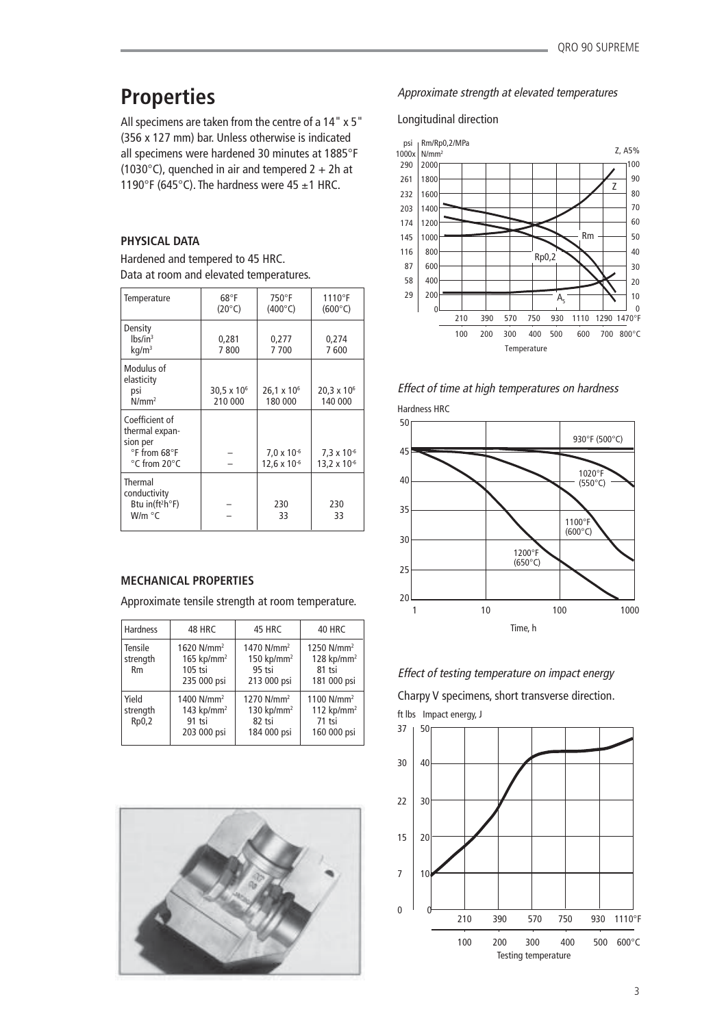# **Properties**

All specimens are taken from the centre of a 14" x 5" (356 x 127 mm) bar. Unless otherwise is indicated all specimens were hardened 30 minutes at 1885°F (1030 $\degree$ C), quenched in air and tempered 2 + 2h at 1190°F (645°C). The hardness were 45  $\pm$ 1 HRC.

# **PHYSICAL DATA**

Hardened and tempered to 45 HRC. Data at room and elevated temperatures.

| Temperature                                                                                     | $68^{\circ}$ F<br>$(20^{\circ}C)$ | 750°F<br>$(400^{\circ}C)$                     | $1110^{\circ}$ F<br>$(600^{\circ}C)$ |
|-------------------------------------------------------------------------------------------------|-----------------------------------|-----------------------------------------------|--------------------------------------|
| Density<br>$lbs/in^3$<br>kq/m <sup>3</sup>                                                      | 0,281<br>7800                     | 0,277<br>7700                                 | 0,274<br>7600                        |
| Modulus of<br>elasticity<br>psi<br>$N/mm^2$                                                     | $30,5 \times 10^{6}$<br>210 000   | $26,1 \times 10^6$<br>180 000                 | $20.3 \times 10^{6}$<br>140 000      |
| Coefficient of<br>thermal expan-<br>sion per<br>$\degree$ F from 68 $\degree$ F<br>°C from 20°C |                                   | $7.0 \times 10^{-6}$<br>$12,6 \times 10^{-6}$ | $7,3 \times 10^{6}$<br>13,2 x 10 $6$ |
| Thermal<br>conductivity<br>Btu in( $ft^2h^{\circ}F$ )<br>W/m °C                                 |                                   | 230<br>33                                     | 230<br>33                            |

### **MECHANICAL PROPERTIES**

Approximate tensile strength at room temperature.

| <b>Hardness</b>                  | 48 HRC                                                                         | 45 HRC                                                                      | 40 HRC                                                                      |
|----------------------------------|--------------------------------------------------------------------------------|-----------------------------------------------------------------------------|-----------------------------------------------------------------------------|
| Tensile<br>strength<br><b>Rm</b> | 1620 N/mm <sup>2</sup><br>$165$ kp/mm <sup>2</sup><br>$105$ tsi<br>235 000 psi | 1470 N/mm <sup>2</sup><br>$150$ kp/mm <sup>2</sup><br>95 tsi<br>213 000 psi | 1250 N/mm <sup>2</sup><br>$128$ kp/mm <sup>2</sup><br>81 tsi<br>181 000 psi |
| Yield<br>strength<br>Rp0,2       | 1400 N/mm <sup>2</sup><br>143 $kp/mm2$<br>91 tsi<br>203 000 psi                | 1270 N/mm <sup>2</sup><br>130 kp/mm <sup>2</sup><br>82 tsi<br>184 000 psi   | 1100 N/mm <sup>2</sup><br>112 $kp/mm2$<br>71 tsi<br>160 000 psi             |



### Approximate strength at elevated temperatures

Longitudinal direction





Hardness HRC



Effect of testing temperature on impact energy

Charpy V specimens, short transverse direction.

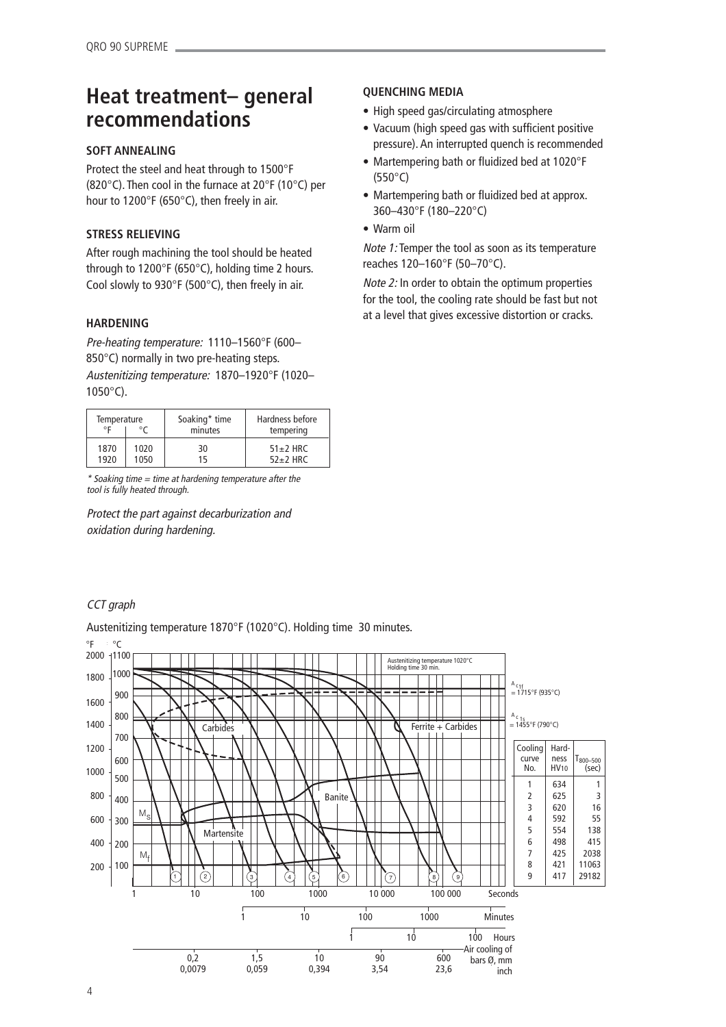# **Heat treatment– general recommendations**

# **SOFT ANNEALING**

Protect the steel and heat through to 1500°F (820°C). Then cool in the furnace at 20°F (10°C) per hour to 1200°F (650°C), then freely in air.

# **STRESS RELIEVING**

After rough machining the tool should be heated through to 1200°F (650°C), holding time 2 hours. Cool slowly to 930°F (500°C), then freely in air.

# **HARDENING**

Pre-heating temperature: 1110–1560°F (600– 850°C) normally in two pre-heating steps. Austenitizing temperature: 1870–1920°F (1020– 1050°C).

| Temperature |      | Soaking* time | Hardness before |
|-------------|------|---------------|-----------------|
| ٥F          |      | minutes       | tempering       |
| 1870        | 1020 | 30            | $51\pm2$ HRC    |
| 1920        | 1050 | 15            | $52+2$ HRC      |

\* Soaking time = time at hardening temperature after the tool is fully heated through.

Protect the part against decarburization and oxidation during hardening.

# **QUENCHING MEDIA**

- High speed gas/circulating atmosphere
- Vacuum (high speed gas with sufficient positive pressure). An interrupted quench is recommended
- Martempering bath or fluidized bed at 1020°F (550°C)
- Martempering bath or fluidized bed at approx. 360–430°F (180–220°C)
- Warm oil

Note 1: Temper the tool as soon as its temperature reaches 120–160°F (50–70°C).

Note 2: In order to obtain the optimum properties for the tool, the cooling rate should be fast but not at a level that gives excessive distortion or cracks.

# CCT graph

Austenitizing temperature 1870°F (1020°C). Holding time 30 minutes.

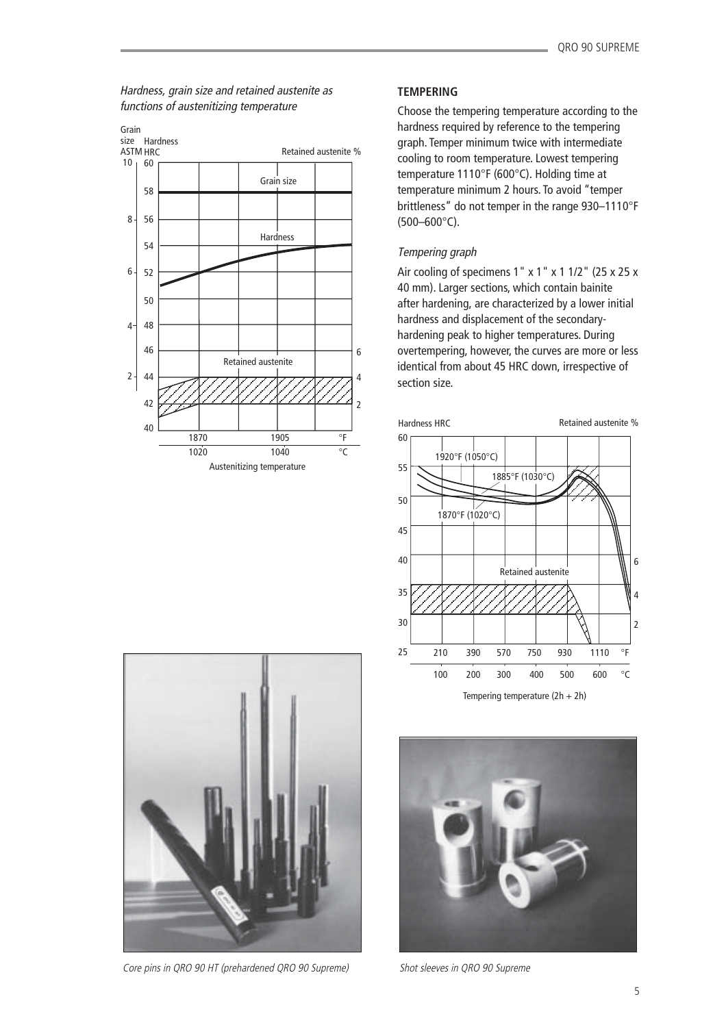# Hardness, grain size and retained austenite as functions of austenitizing temperature



# **TEMPERING**

Choose the tempering temperature according to the hardness required by reference to the tempering graph. Temper minimum twice with intermediate cooling to room temperature. Lowest tempering temperature 1110°F (600°C). Holding time at temperature minimum 2 hours. To avoid "temper brittleness" do not temper in the range 930–1110°F (500–600°C).

# Tempering graph

Air cooling of specimens  $1'' \times 1'' \times 1$  1/2" (25 x 25 x 40 mm). Larger sections, which contain bainite after hardening, are characterized by a lower initial hardness and displacement of the secondaryhardening peak to higher temperatures. During overtempering, however, the curves are more or less identical from about 45 HRC down, irrespective of section size.



Tempering temperature (2h + 2h)



Shot sleeves in QRO 90 Supreme



Core pins in QRO 90 HT (prehardened QRO 90 Supreme)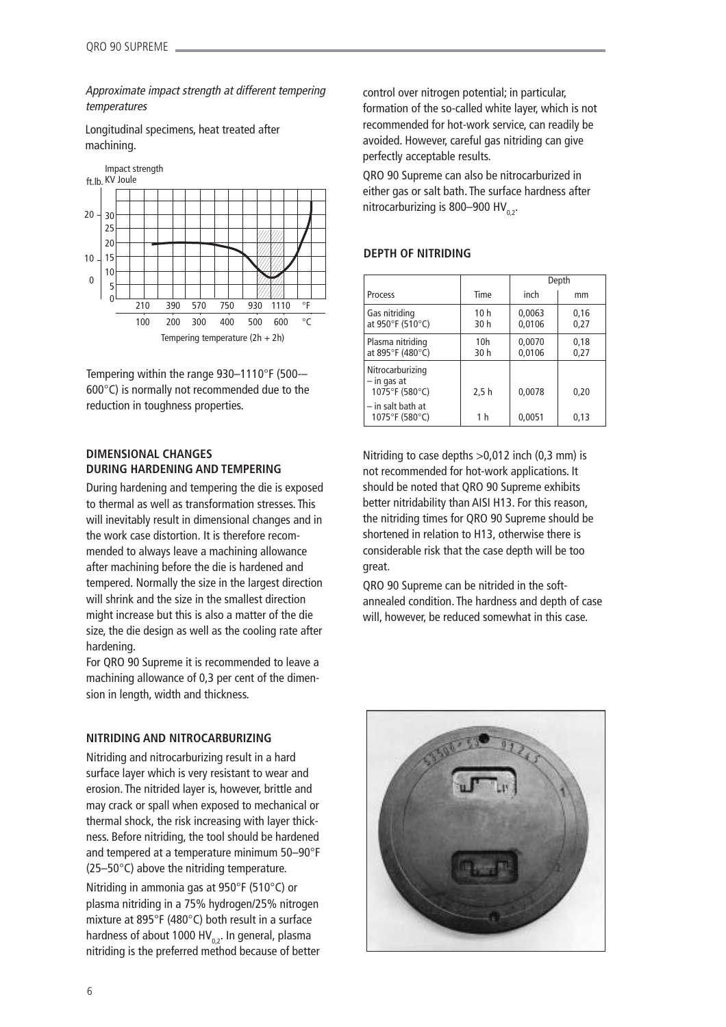Approximate impact strength at different tempering temperatures

Longitudinal specimens, heat treated after machining.



Tempering within the range 930–1110°F (500-– 600°C) is normally not recommended due to the reduction in toughness properties.

### **DIMENSIONAL CHANGES DURING HARDENING AND TEMPERING**

During hardening and tempering the die is exposed to thermal as well as transformation stresses. This will inevitably result in dimensional changes and in the work case distortion. It is therefore recommended to always leave a machining allowance after machining before the die is hardened and tempered. Normally the size in the largest direction will shrink and the size in the smallest direction might increase but this is also a matter of the die size, the die design as well as the cooling rate after hardening.

For QRO 90 Supreme it is recommended to leave a machining allowance of 0,3 per cent of the dimension in length, width and thickness.

### **NITRIDING AND NITROCARBURIZING**

Nitriding and nitrocarburizing result in a hard surface layer which is very resistant to wear and erosion. The nitrided layer is, however, brittle and may crack or spall when exposed to mechanical or thermal shock, the risk increasing with layer thickness. Before nitriding, the tool should be hardened and tempered at a temperature minimum 50–90°F (25–50°C) above the nitriding temperature.

Nitriding in ammonia gas at 950°F (510°C) or plasma nitriding in a 75% hydrogen/25% nitrogen mixture at 895°F (480°C) both result in a surface hardness of about 1000 HV<sub>0,2</sub>. In general, plasma nitriding is the preferred method because of better control over nitrogen potential; in particular, formation of the so-called white layer, which is not recommended for hot-work service, can readily be avoided. However, careful gas nitriding can give perfectly acceptable results.

QRO 90 Supreme can also be nitrocarburized in either gas or salt bath. The surface hardness after nitrocarburizing is 800–900 HV<sub>0,2</sub>.

### **DEPTH OF NITRIDING**

|                                                   |                         | Depth            |              |
|---------------------------------------------------|-------------------------|------------------|--------------|
| Process                                           | Time                    | inch             | mm           |
| Gas nitriding<br>at 950°F (510°C)                 | 10 <sub>h</sub><br>30 h | 0,0063<br>0,0106 | 0,16<br>0,27 |
| Plasma nitriding<br>at 895°F (480°C)              | 10 <sub>h</sub><br>30 h | 0,0070<br>0,0106 | 0,18<br>0,27 |
| Nitrocarburizing<br>– in gas at<br>1075°F (580°C) | 2,5 h                   | 0,0078           | 0.20         |
| $-$ in salt bath at<br>1075°F (580°C)             | 1 h                     | 0,0051           | 0,13         |

Nitriding to case depths >0,012 inch (0,3 mm) is not recommended for hot-work applications. It should be noted that QRO 90 Supreme exhibits better nitridability than AISI H13. For this reason, the nitriding times for QRO 90 Supreme should be shortened in relation to H13, otherwise there is considerable risk that the case depth will be too great.

QRO 90 Supreme can be nitrided in the softannealed condition. The hardness and depth of case will, however, be reduced somewhat in this case.

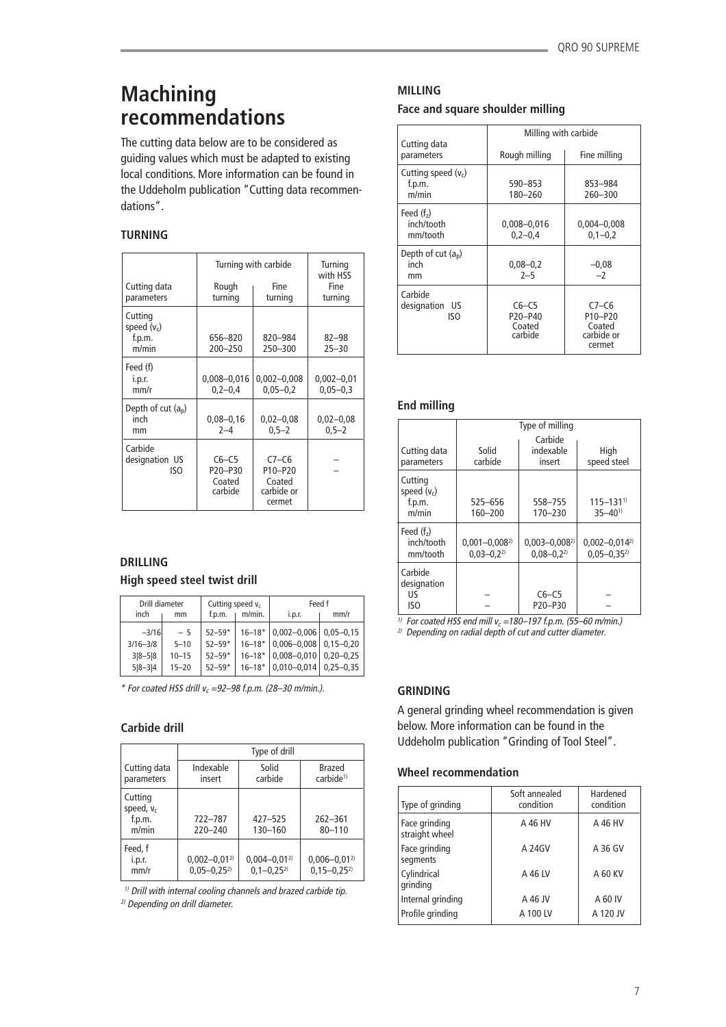# **Machining recommendations**

The cutting data below are to be considered as guiding values which must be adapted to existing local conditions. More information can be found in the Uddeholm publication "Cutting data recommendations".

# **TURNING**

|                                             |                                         | Turning with carbide                                 |                                |  |
|---------------------------------------------|-----------------------------------------|------------------------------------------------------|--------------------------------|--|
| Cutting data<br>parameters                  | Rough<br>turning                        | Fine<br>turning                                      | Fine<br>turning                |  |
| Cutting<br>speed $(v_c)$<br>f.p.m.<br>m/min | 656-820<br>$200 - 250$                  | 820-984<br>250-300                                   | 82-98<br>$25 - 30$             |  |
| Feed (f)<br>i.p.r.<br>mm/r                  | $0,008 - 0,016$<br>$0, 2 - 0, 4$        | $0,002 - 0,008$<br>$0,05 - 0,2$                      | $0,002 - 0,01$<br>$0,05 - 0,3$ |  |
| Depth of cut $(a_n)$<br>inch<br>mm          | $0,08 - 0,16$<br>$2 - 4$                | $0,02 - 0,08$<br>$0,5 - 2$                           | $0,02 - 0,08$<br>$0,5 - 2$     |  |
| Carbide<br>designation US<br>ISO            | $C6-C5$<br>P20-P30<br>Coated<br>carbide | $C7-C6$<br>P10-P20<br>Coated<br>carbide or<br>cermet |                                |  |

# **DRILLING**

### **High speed steel twist drill**

| inch         | Drill diameter<br>mm |            | Cutting speed $v_c$<br>m/min. | i.p.r.          | Feed f<br>mm/r |
|--------------|----------------------|------------|-------------------------------|-----------------|----------------|
| $-3/16$      | $-5$                 | $52 - 59*$ | $16 - 18$ *                   | $0,002 - 0,006$ | $0.05 - 0.15$  |
| $3/16 - 3/8$ | $5 - 10$             | $52 - 59*$ | $16 - 18*$                    | $0,006 - 0,008$ | $0.15 - 0.20$  |
| $3 8-5 8$    | $10 - 15$            | $52 - 59*$ | $16 - 18*$                    | $0,008 - 0,010$ | $0.20 - 0.25$  |
| $5 8-3 4$    | $15 - 20$            | $52 - 59*$ | $16 - 18*$                    | $0,010 - 0,014$ | $0.25 - 0.35$  |

 $*$  For coated HSS drill  $v_c = 92-98$  f.p.m. (28-30 m/min.).

# **Carbide drill**

|                                            | Type of drill                           |                                        |                                         |  |
|--------------------------------------------|-----------------------------------------|----------------------------------------|-----------------------------------------|--|
| Cutting data<br>parameters                 | Indexable<br>insert                     | Solid<br>carbide                       | Brazed<br>carbide <sup>1)</sup>         |  |
| Cutting<br>speed, $v_c$<br>f.p.m.<br>m/min | 722-787<br>$220 - 240$                  | 427-525<br>130-160                     | $262 - 361$<br>$80 - 110$               |  |
| Feed, f<br>i.p.r.<br>mm/r                  | $0,002 - 0,01^{2}$<br>$0.05 - 0.25^{2}$ | $0,004 - 0,01^{2}$<br>$0.1 - 0.25^{2}$ | $0,006 - 0,01^{2}$<br>$0.15 - 0.25^{2}$ |  |

 $1)$  Drill with internal cooling channels and brazed carbide tip. 2) Depending on drill diameter.

# **MILLING**

### **Face and square shoulder milling**

|                                          | Milling with carbide                    |                                                                               |  |
|------------------------------------------|-----------------------------------------|-------------------------------------------------------------------------------|--|
| Cutting data<br>parameters               | Rough milling                           | Fine milling                                                                  |  |
| Cutting speed $(v_c)$<br>f.p.m.<br>m/min | 590-853<br>180-260                      | 853-984<br>260-300                                                            |  |
| Feed $(fz)$<br>inch/tooth<br>mm/tooth    | 0,008-0,016<br>$0,2-0,4$                | $0,004 - 0,008$<br>$0,1-0,2$                                                  |  |
| Depth of cut $(a_n)$<br>inch<br>mm       | $0,08 - 0,2$<br>$2 - 5$                 | $-0,08$<br>$-2$                                                               |  |
| Carbide<br>designation US<br>ISO         | $C6-C5$<br>P20-P40<br>Coated<br>carbide | $C7-C6$<br>P <sub>10</sub> -P <sub>20</sub><br>Coated<br>carbide or<br>cermet |  |

# **End milling**

|                                             | Type of milling                         |                                      |                                            |  |
|---------------------------------------------|-----------------------------------------|--------------------------------------|--------------------------------------------|--|
| Cutting data<br>parameters                  | Solid<br>carbide                        | Carbide<br>indexable<br>insert       | High<br>speed steel                        |  |
| Cutting<br>speed $(v_c)$<br>f.p.m.<br>m/min | 525-656<br>160-200                      | 558-755<br>170-230                   | $115 - 131$ <sup>1)</sup><br>$35 - 40^{1}$ |  |
| Feed $(fz)$<br>inch/tooth<br>mm/tooth       | $0,001 - 0,008^{2}$<br>$0.03 - 0.2^{2}$ | $0,003 - 0,008^{2}$<br>$0.08 - 0.22$ | $0,002 - 0,014^{2}$<br>$0.05 - 0.35^{2}$   |  |
| Carbide<br>designation<br>US<br>ISO         |                                         | $C6-C5$<br>P20-P30                   |                                            |  |

<sup>1)</sup> For coated HSS end mill  $v_c = 180-197$  f.p.m. (55–60 m/min.)

<sup>2)</sup> Depending on radial depth of cut and cutter diameter.

# **GRINDING**

A general grinding wheel recommendation is given below. More information can be found in the Uddeholm publication "Grinding of Tool Steel".

### **Wheel recommendation**

| Type of grinding                | Soft annealed<br>condition | Hardened<br>condition |
|---------------------------------|----------------------------|-----------------------|
| Face grinding<br>straight wheel | A 46 HV                    | A 46 HV               |
| Face grinding<br>segments       | A 24GV                     | A 36 GV               |
| Cylindrical<br>grinding         | A 46 LV                    | A 60 KV               |
| Internal grinding               | A 46 JV                    | A 60 IV               |
| Profile grinding                | A 100 LV                   | A 120 JV              |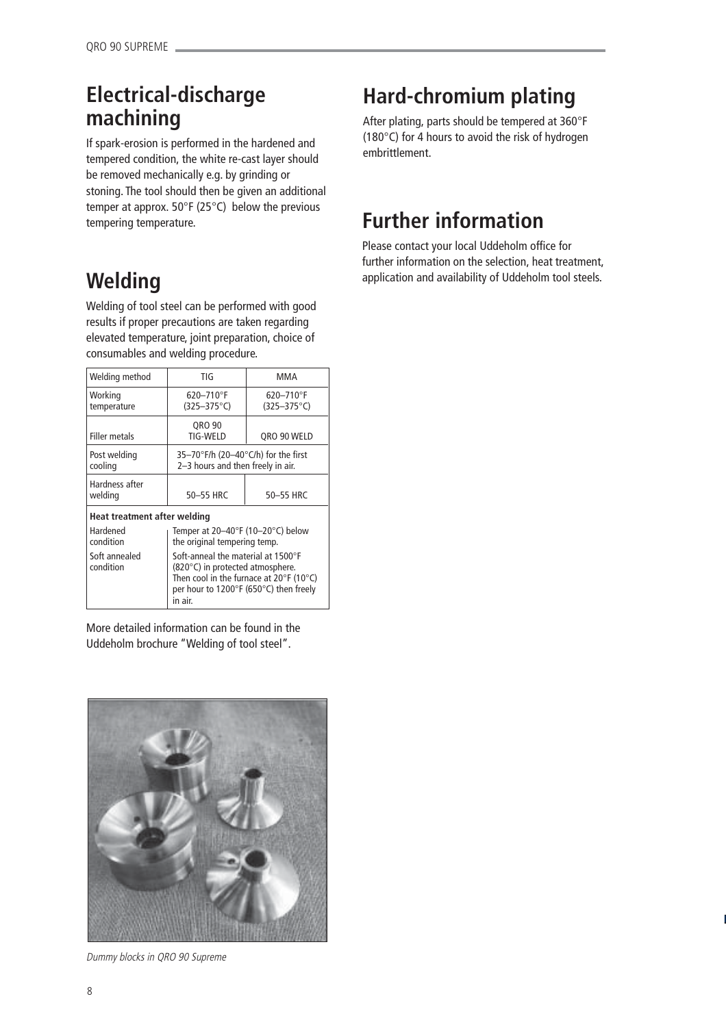# **Electrical-discharge machining**

If spark-erosion is performed in the hardened and tempered condition, the white re-cast layer should be removed mechanically e.g. by grinding or stoning. The tool should then be given an additional temper at approx. 50°F (25°C) below the previous tempering temperature.

# **Hard-chromium plating**

After plating, parts should be tempered at 360°F (180°C) for 4 hours to avoid the risk of hydrogen embrittlement.

# **Further information**

Please contact your local Uddeholm office for further information on the selection, heat treatment, application and availability of Uddeholm tool steels.

# **Welding**

Welding of tool steel can be performed with good results if proper precautions are taken regarding elevated temperature, joint preparation, choice of consumables and welding procedure.

| Welding method               | TIG                                                                                                                                                                                         | MMA                                 |  |  |
|------------------------------|---------------------------------------------------------------------------------------------------------------------------------------------------------------------------------------------|-------------------------------------|--|--|
| Working<br>temperature       | 620-710°F<br>$(325 - 375^{\circ}C)$                                                                                                                                                         | 620-710°F<br>$(325 - 375^{\circ}C)$ |  |  |
| <b>Filler metals</b>         | QRO 90<br>TIG-WELD                                                                                                                                                                          | QRO 90 WELD                         |  |  |
| Post welding<br>cooling      | 35-70°F/h (20-40°C/h) for the first<br>2-3 hours and then freely in air.                                                                                                                    |                                     |  |  |
| Hardness after<br>welding    | 50-55 HRC                                                                                                                                                                                   | 50-55 HRC                           |  |  |
| Heat treatment after welding |                                                                                                                                                                                             |                                     |  |  |
| Hardened<br>condition        | Temper at $20-40^{\circ}$ F (10-20 $^{\circ}$ C) below<br>the original tempering temp.                                                                                                      |                                     |  |  |
| Soft annealed<br>condition   | Soft-anneal the material at 1500°F<br>(820°C) in protected atmosphere.<br>Then cool in the furnace at $20^{\circ}$ F (10 $^{\circ}$ C)<br>per hour to 1200°F (650°C) then freely<br>in air. |                                     |  |  |

More detailed information can be found in the Uddeholm brochure "Welding of tool steel".



Dummy blocks in QRO 90 Supreme